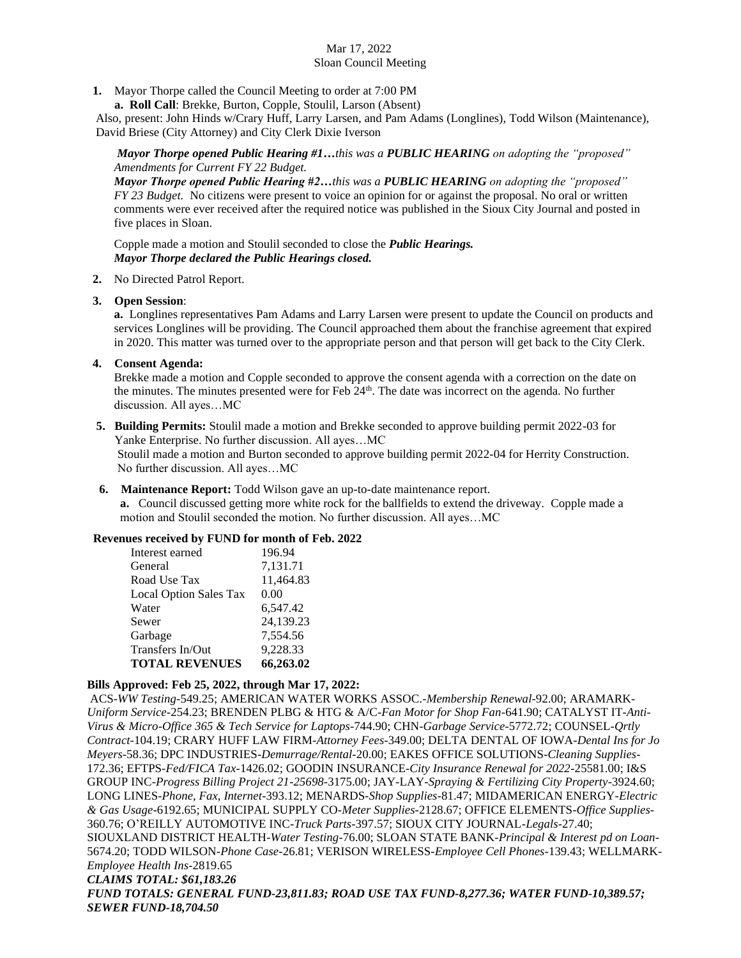# Mar 17, 2022 Sloan Council Meeting

**1.** Mayor Thorpe called the Council Meeting to order at 7:00 PM

 **a. Roll Call**: Brekke, Burton, Copple, Stoulil, Larson (Absent)

Also, present: John Hinds w/Crary Huff, Larry Larsen, and Pam Adams (Longlines), Todd Wilson (Maintenance), David Briese (City Attorney) and City Clerk Dixie Iverson

*Mayor Thorpe opened Public Hearing #1…this was a PUBLIC HEARING on adopting the "proposed" Amendments for Current FY 22 Budget.*

*Mayor Thorpe opened Public Hearing #2…this was a PUBLIC HEARING on adopting the "proposed" FY 23 Budget.* No citizens were present to voice an opinion for or against the proposal. No oral or written comments were ever received after the required notice was published in the Sioux City Journal and posted in five places in Sloan.

Copple made a motion and Stoulil seconded to close the *Public Hearings. Mayor Thorpe declared the Public Hearings closed.*

#### **2.** No Directed Patrol Report.

**3. Open Session**:

**a.** Longlines representatives Pam Adams and Larry Larsen were present to update the Council on products and services Longlines will be providing. The Council approached them about the franchise agreement that expired in 2020. This matter was turned over to the appropriate person and that person will get back to the City Clerk.

**4. Consent Agenda:**

Brekke made a motion and Copple seconded to approve the consent agenda with a correction on the date on the minutes. The minutes presented were for Feb 24<sup>th</sup>. The date was incorrect on the agenda. No further discussion. All ayes…MC

 **5. Building Permits:** Stoulil made a motion and Brekke seconded to approve building permit 2022-03 for Yanke Enterprise. No further discussion. All ayes…MC

 Stoulil made a motion and Burton seconded to approve building permit 2022-04 for Herrity Construction. No further discussion. All ayes…MC

**6. Maintenance Report:** Todd Wilson gave an up-to-date maintenance report.

**a.** Council discussed getting more white rock for the ballfields to extend the driveway. Copple made a motion and Stoulil seconded the motion. No further discussion. All ayes…MC

### **Revenues received by FUND for month of Feb. 2022**

| Interest earned        | 196.94    |
|------------------------|-----------|
| General                | 7,131.71  |
| Road Use Tax           | 11,464.83 |
| Local Option Sales Tax | 0.00      |
| Water                  | 6,547.42  |
| Sewer                  | 24,139.23 |
| Garbage                | 7,554.56  |
| Transfers In/Out       | 9,228.33  |
| <b>TOTAL REVENUES</b>  | 66,263.02 |

### **Bills Approved: Feb 25, 2022, through Mar 17, 2022:**

ACS-*WW Testing-*549.25; AMERICAN WATER WORKS ASSOC.-*Membership Renewal-*92.00; ARAMARK-*Uniform Service-*254.23; BRENDEN PLBG & HTG & A/C-*Fan Motor for Shop Fan-*641.90; CATALYST IT-*Anti-Virus & Micro-Office 365 & Tech Service for Laptops-*744.90; CHN-*Garbage Service-*5772.72; COUNSEL-*Qrtly Contract-*104.19; CRARY HUFF LAW FIRM-*Attorney Fees-*349.00; DELTA DENTAL OF IOWA-*Dental Ins for Jo Meyers-*58.36; DPC INDUSTRIES-*Demurrage/Rental-*20.00; EAKES OFFICE SOLUTIONS-*Cleaning Supplies-*172.36; EFTPS-*Fed/FICA Tax*-1426.02; GOODIN INSURANCE-*City Insurance Renewal for 2022-*25581.00; I&S GROUP INC-*Progress Billing Project 21-25698-*3175.00; JAY-LAY-*Spraying & Fertilizing City Property-*3924.60; LONG LINES-*Phone, Fax, Internet*-393.12; MENARDS-*Shop Supplies-*81.47; MIDAMERICAN ENERGY-*Electric & Gas Usage*-6192.65; MUNICIPAL SUPPLY CO-*Meter Supplies-*2128.67; OFFICE ELEMENTS-*Office Supplies-*360.76; O'REILLY AUTOMOTIVE INC-*Truck Parts-*397.57; SIOUX CITY JOURNAL-*Legals-*27.40; SIOUXLAND DISTRICT HEALTH-*Water Testing-*76.00; SLOAN STATE BANK-*Principal & Interest pd on Loan-*5674.20; TODD WILSON-*Phone Case-*26.81; VERISON WIRELESS-*Employee Cell Phones-*139.43; WELLMARK-*Employee Health Ins-*2819.65 *CLAIMS TOTAL: \$61,183.26 FUND TOTALS: GENERAL FUND-23,811.83; ROAD USE TAX FUND-8,277.36; WATER FUND-10,389.57; SEWER FUND-18,704.50*